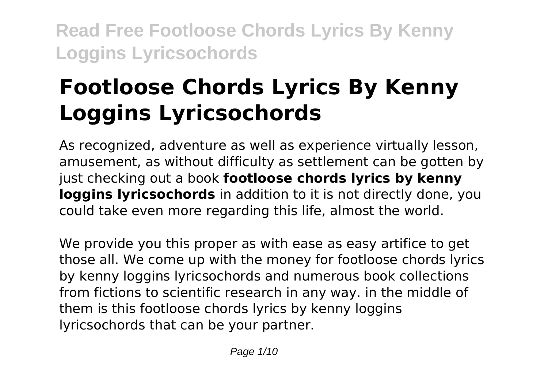# **Footloose Chords Lyrics By Kenny Loggins Lyricsochords**

As recognized, adventure as well as experience virtually lesson, amusement, as without difficulty as settlement can be gotten by just checking out a book **footloose chords lyrics by kenny loggins lyricsochords** in addition to it is not directly done, you could take even more regarding this life, almost the world.

We provide you this proper as with ease as easy artifice to get those all. We come up with the money for footloose chords lyrics by kenny loggins lyricsochords and numerous book collections from fictions to scientific research in any way. in the middle of them is this footloose chords lyrics by kenny loggins lyricsochords that can be your partner.

Page 1/10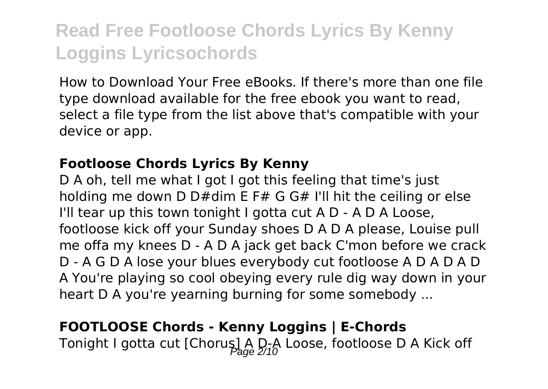How to Download Your Free eBooks. If there's more than one file type download available for the free ebook you want to read, select a file type from the list above that's compatible with your device or app.

#### **Footloose Chords Lyrics By Kenny**

D A oh, tell me what I got I got this feeling that time's just holding me down D D#dim E F# G G# I'll hit the ceiling or else I'll tear up this town tonight I gotta cut A D - A D A Loose, footloose kick off your Sunday shoes D A D A please, Louise pull me offa my knees D - A D A jack get back C'mon before we crack D - A G D A lose your blues everybody cut footloose A D A D A D A You're playing so cool obeying every rule dig way down in your heart D A you're yearning burning for some somebody ...

### **FOOTLOOSE Chords - Kenny Loggins | E-Chords** Tonight I gotta cut [Chorus] A D-A Loose, footloose D A Kick off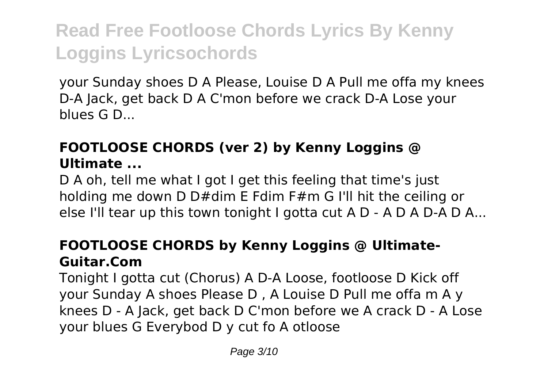your Sunday shoes D A Please, Louise D A Pull me offa my knees D-A Jack, get back D A C'mon before we crack D-A Lose your blues G D...

### **FOOTLOOSE CHORDS (ver 2) by Kenny Loggins @ Ultimate ...**

D A oh, tell me what I got I get this feeling that time's just holding me down D D#dim E Fdim F#m G I'll hit the ceiling or else I'll tear up this town tonight I gotta cut A D - A D A D-A D A...

#### **FOOTLOOSE CHORDS by Kenny Loggins @ Ultimate-Guitar.Com**

Tonight I gotta cut (Chorus) A D-A Loose, footloose D Kick off your Sunday A shoes Please D , A Louise D Pull me offa m A y knees D - A Jack, get back D C'mon before we A crack D - A Lose your blues G Everybod D y cut fo A otloose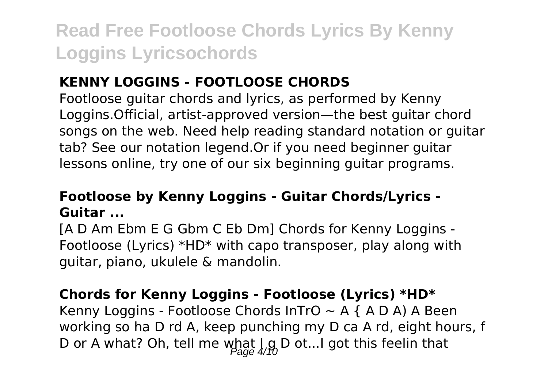#### **KENNY LOGGINS - FOOTLOOSE CHORDS**

Footloose guitar chords and lyrics, as performed by Kenny Loggins.Official, artist-approved version—the best guitar chord songs on the web. Need help reading standard notation or guitar tab? See our notation legend.Or if you need beginner guitar lessons online, try one of our six beginning guitar programs.

#### **Footloose by Kenny Loggins - Guitar Chords/Lyrics - Guitar ...**

[A D Am Ebm E G Gbm C Eb Dm] Chords for Kenny Loggins - Footloose (Lyrics) \*HD\* with capo transposer, play along with guitar, piano, ukulele & mandolin.

#### **Chords for Kenny Loggins - Footloose (Lyrics) \*HD\***

Kenny Loggins - Footloose Chords InTrO  $\sim$  A { A D A) A Been working so ha D rd A, keep punching my D ca A rd, eight hours, f D or A what? Oh, tell me what I g D ot...I got this feelin that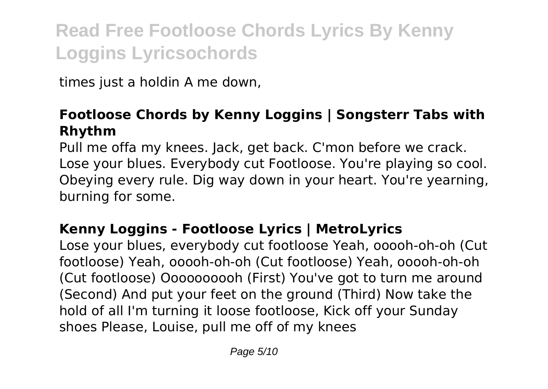times just a holdin A me down,

#### **Footloose Chords by Kenny Loggins | Songsterr Tabs with Rhythm**

Pull me offa my knees. Jack, get back. C'mon before we crack. Lose your blues. Everybody cut Footloose. You're playing so cool. Obeying every rule. Dig way down in your heart. You're yearning, burning for some.

#### **Kenny Loggins - Footloose Lyrics | MetroLyrics**

Lose your blues, everybody cut footloose Yeah, ooooh-oh-oh (Cut footloose) Yeah, ooooh-oh-oh (Cut footloose) Yeah, ooooh-oh-oh (Cut footloose) Oooooooooh (First) You've got to turn me around (Second) And put your feet on the ground (Third) Now take the hold of all I'm turning it loose footloose, Kick off your Sunday shoes Please, Louise, pull me off of my knees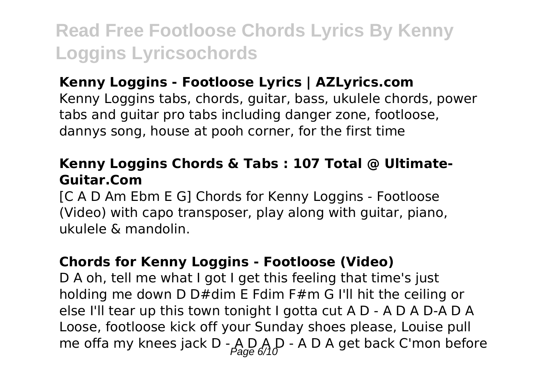#### **Kenny Loggins - Footloose Lyrics | AZLyrics.com**

Kenny Loggins tabs, chords, guitar, bass, ukulele chords, power tabs and guitar pro tabs including danger zone, footloose, dannys song, house at pooh corner, for the first time

#### **Kenny Loggins Chords & Tabs : 107 Total @ Ultimate-Guitar.Com**

[C A D Am Ebm E G] Chords for Kenny Loggins - Footloose (Video) with capo transposer, play along with guitar, piano, ukulele & mandolin.

#### **Chords for Kenny Loggins - Footloose (Video)**

D A oh, tell me what I got I get this feeling that time's just holding me down D D#dim E Fdim F#m G I'll hit the ceiling or else I'll tear up this town tonight I gotta cut A D - A D A D-A D A Loose, footloose kick off your Sunday shoes please, Louise pull me offa my knees jack D -  $A$  D  $A$ <sub>*R*</sub> $D$  - A D A get back C'mon before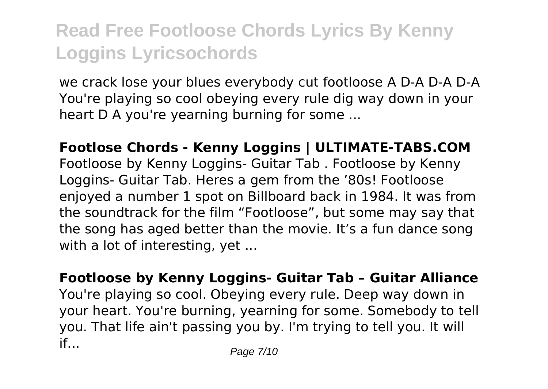we crack lose your blues everybody cut footloose A D-A D-A D-A You're playing so cool obeying every rule dig way down in your heart D A you're yearning burning for some ...

**Footlose Chords - Kenny Loggins | ULTIMATE-TABS.COM** Footloose by Kenny Loggins- Guitar Tab . Footloose by Kenny Loggins- Guitar Tab. Heres a gem from the '80s! Footloose enjoyed a number 1 spot on Billboard back in 1984. It was from the soundtrack for the film "Footloose", but some may say that the song has aged better than the movie. It's a fun dance song with a lot of interesting, yet ...

**Footloose by Kenny Loggins- Guitar Tab – Guitar Alliance** You're playing so cool. Obeying every rule. Deep way down in your heart. You're burning, yearning for some. Somebody to tell you. That life ain't passing you by. I'm trying to tell you. It will  $if...$  Page  $7/10$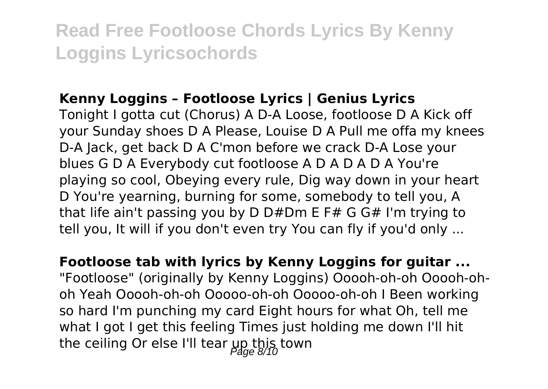#### **Kenny Loggins – Footloose Lyrics | Genius Lyrics**

Tonight I gotta cut (Chorus) A D-A Loose, footloose D A Kick off your Sunday shoes D A Please, Louise D A Pull me offa my knees D-A Jack, get back D A C'mon before we crack D-A Lose your blues G D A Everybody cut footloose A D A D A D A You're playing so cool, Obeying every rule, Dig way down in your heart D You're yearning, burning for some, somebody to tell you, A that life ain't passing you by D D#Dm E F# G G# I'm trying to tell you, It will if you don't even try You can fly if you'd only ...

**Footloose tab with lyrics by Kenny Loggins for guitar ...** "Footloose" (originally by Kenny Loggins) Ooooh-oh-oh Ooooh-ohoh Yeah Ooooh-oh-oh Ooooo-oh-oh Ooooo-oh-oh I Been working so hard I'm punching my card Eight hours for what Oh, tell me what I got I get this feeling Times just holding me down I'll hit the ceiling Or else I'll tear up this town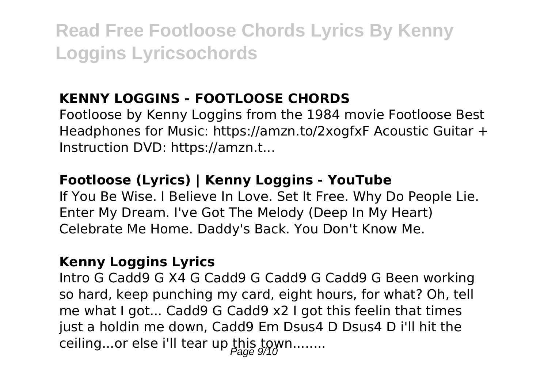### **KENNY LOGGINS - FOOTLOOSE CHORDS**

Footloose by Kenny Loggins from the 1984 movie Footloose Best Headphones for Music: https://amzn.to/2xogfxF Acoustic Guitar + Instruction DVD: https://amzn.t...

#### **Footloose (Lyrics) | Kenny Loggins - YouTube**

If You Be Wise. I Believe In Love. Set It Free. Why Do People Lie. Enter My Dream. I've Got The Melody (Deep In My Heart) Celebrate Me Home. Daddy's Back. You Don't Know Me.

#### **Kenny Loggins Lyrics**

Intro G Cadd9 G X4 G Cadd9 G Cadd9 G Cadd9 G Been working so hard, keep punching my card, eight hours, for what? Oh, tell me what I got... Cadd9 G Cadd9 x2 I got this feelin that times just a holdin me down, Cadd9 Em Dsus4 D Dsus4 D i'll hit the ceiling...or else i'll tear up this town........